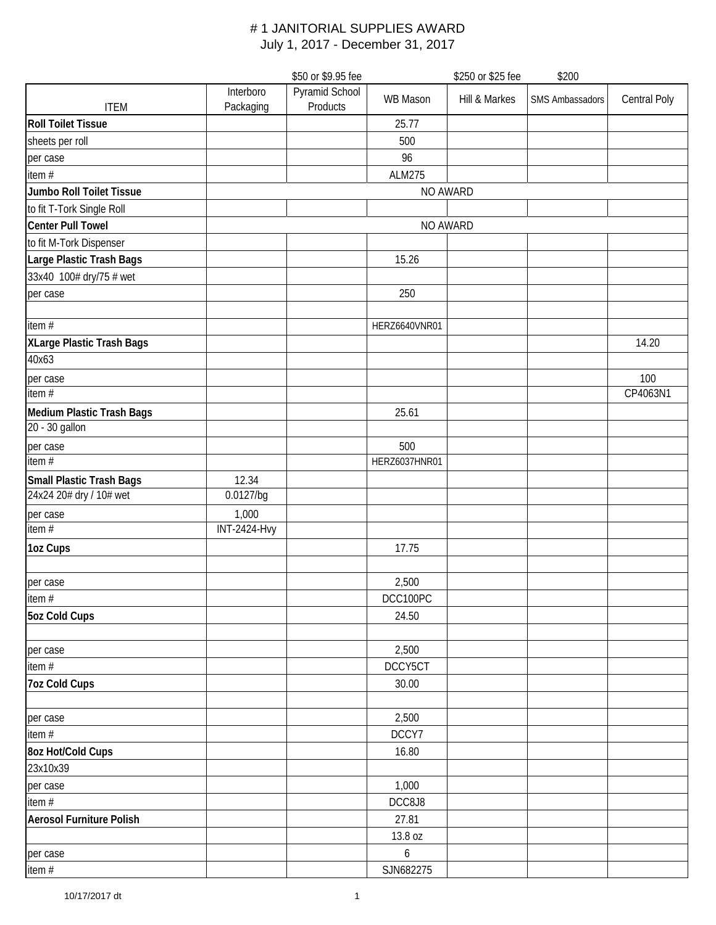| \$50 or \$9.95 fee               |                        |                            | \$250 or \$25 fee<br>\$200 |               |                        |                     |
|----------------------------------|------------------------|----------------------------|----------------------------|---------------|------------------------|---------------------|
| <b>ITEM</b>                      | Interboro<br>Packaging | Pyramid School<br>Products | <b>WB Mason</b>            | Hill & Markes | <b>SMS Ambassadors</b> | <b>Central Poly</b> |
| <b>Roll Toilet Tissue</b>        |                        |                            | 25.77                      |               |                        |                     |
| sheets per roll                  |                        |                            | 500                        |               |                        |                     |
| per case                         |                        |                            | 96                         |               |                        |                     |
| item #                           |                        |                            | <b>ALM275</b>              |               |                        |                     |
| Jumbo Roll Toilet Tissue         |                        |                            | NO AWARD                   |               |                        |                     |
| to fit T-Tork Single Roll        |                        |                            |                            |               |                        |                     |
| <b>Center Pull Towel</b>         |                        |                            | NO AWARD                   |               |                        |                     |
| to fit M-Tork Dispenser          |                        |                            |                            |               |                        |                     |
| Large Plastic Trash Bags         |                        |                            | 15.26                      |               |                        |                     |
| 33x40 100# dry/75 # wet          |                        |                            |                            |               |                        |                     |
| per case                         |                        |                            | 250                        |               |                        |                     |
|                                  |                        |                            |                            |               |                        |                     |
| item #                           |                        |                            | HERZ6640VNR01              |               |                        |                     |
| XLarge Plastic Trash Bags        |                        |                            |                            |               |                        | 14.20               |
| 40x63                            |                        |                            |                            |               |                        |                     |
| per case                         |                        |                            |                            |               |                        | 100                 |
| item #                           |                        |                            |                            |               |                        | CP4063N1            |
| <b>Medium Plastic Trash Bags</b> |                        |                            | 25.61                      |               |                        |                     |
| 20 - 30 gallon                   |                        |                            |                            |               |                        |                     |
| per case                         |                        |                            | 500                        |               |                        |                     |
| item $#$                         |                        |                            | HERZ6037HNR01              |               |                        |                     |
| Small Plastic Trash Bags         | 12.34                  |                            |                            |               |                        |                     |
| 24x24 20# dry / 10# wet          | 0.0127/bg              |                            |                            |               |                        |                     |
| per case                         | 1,000                  |                            |                            |               |                        |                     |
| item #                           | <b>INT-2424-Hvy</b>    |                            |                            |               |                        |                     |
| 1oz Cups                         |                        |                            | 17.75                      |               |                        |                     |
|                                  |                        |                            |                            |               |                        |                     |
| per case                         |                        |                            | 2,500                      |               |                        |                     |
| item #                           |                        |                            | DCC100PC                   |               |                        |                     |
| 5oz Cold Cups                    |                        |                            | 24.50                      |               |                        |                     |
|                                  |                        |                            |                            |               |                        |                     |
| per case                         |                        |                            | 2,500                      |               |                        |                     |
| item $#$                         |                        |                            | DCCY5CT                    |               |                        |                     |
| <b>7oz Cold Cups</b>             |                        |                            | 30.00                      |               |                        |                     |
|                                  |                        |                            |                            |               |                        |                     |
| per case                         |                        |                            | 2,500                      |               |                        |                     |
| item $#$                         |                        |                            | DCCY7                      |               |                        |                     |
| 8oz Hot/Cold Cups                |                        |                            | 16.80                      |               |                        |                     |
| 23x10x39                         |                        |                            |                            |               |                        |                     |
| per case                         |                        |                            | 1,000                      |               |                        |                     |
| item $#$                         |                        |                            | DCC8J8                     |               |                        |                     |
| <b>Aerosol Furniture Polish</b>  |                        |                            | 27.81                      |               |                        |                     |
|                                  |                        |                            | 13.8 oz                    |               |                        |                     |
| per case                         |                        |                            | 6                          |               |                        |                     |
| item $#$                         |                        |                            | SJN682275                  |               |                        |                     |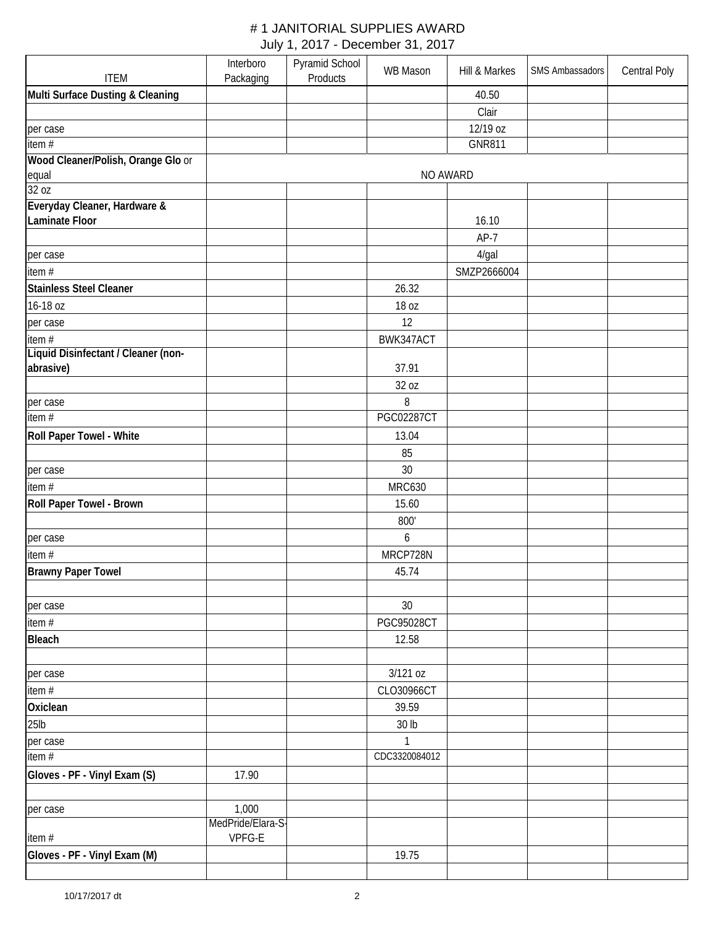|                                                | Interboro         | Pyramid School | WB Mason          | Hill & Markes | SMS Ambassadors | <b>Central Poly</b> |
|------------------------------------------------|-------------------|----------------|-------------------|---------------|-----------------|---------------------|
| <b>ITEM</b>                                    | Packaging         | Products       |                   |               |                 |                     |
| Multi Surface Dusting & Cleaning               |                   |                |                   | 40.50         |                 |                     |
|                                                |                   |                |                   | Clair         |                 |                     |
| per case                                       |                   |                |                   | 12/19 oz      |                 |                     |
| item $\overline{H}$                            |                   |                |                   | <b>GNR811</b> |                 |                     |
| Wood Cleaner/Polish, Orange Glo or             |                   |                |                   |               |                 |                     |
| equal                                          |                   |                | NO AWARD          |               |                 |                     |
| 32 oz                                          |                   |                |                   |               |                 |                     |
| Everyday Cleaner, Hardware &<br>Laminate Floor |                   |                |                   | 16.10         |                 |                     |
|                                                |                   |                |                   | $AP-7$        |                 |                     |
| per case                                       |                   |                |                   | $4$ /gal      |                 |                     |
| item #                                         |                   |                |                   | SMZP2666004   |                 |                     |
| Stainless Steel Cleaner                        |                   |                | 26.32             |               |                 |                     |
| 16-18 oz                                       |                   |                | 18 oz             |               |                 |                     |
| per case                                       |                   |                | 12                |               |                 |                     |
| item #                                         |                   |                | BWK347ACT         |               |                 |                     |
| Liquid Disinfectant / Cleaner (non-            |                   |                |                   |               |                 |                     |
| abrasive)                                      |                   |                | 37.91             |               |                 |                     |
|                                                |                   |                | 32 oz             |               |                 |                     |
| per case                                       |                   |                | 8                 |               |                 |                     |
| item#                                          |                   |                | <b>PGC02287CT</b> |               |                 |                     |
| Roll Paper Towel - White                       |                   |                | 13.04             |               |                 |                     |
|                                                |                   |                | 85                |               |                 |                     |
| per case                                       |                   |                | 30                |               |                 |                     |
| item#                                          |                   |                | <b>MRC630</b>     |               |                 |                     |
| Roll Paper Towel - Brown                       |                   |                | 15.60             |               |                 |                     |
|                                                |                   |                | 800'              |               |                 |                     |
| per case                                       |                   |                | 6                 |               |                 |                     |
| item#                                          |                   |                | MRCP728N          |               |                 |                     |
| <b>Brawny Paper Towel</b>                      |                   |                | 45.74             |               |                 |                     |
|                                                |                   |                |                   |               |                 |                     |
| per case                                       |                   |                | 30                |               |                 |                     |
| item #                                         |                   |                | <b>PGC95028CT</b> |               |                 |                     |
| <b>Bleach</b>                                  |                   |                | 12.58             |               |                 |                     |
|                                                |                   |                |                   |               |                 |                     |
| per case                                       |                   |                | 3/121 oz          |               |                 |                     |
| item#                                          |                   |                | CLO30966CT        |               |                 |                     |
| Oxiclean                                       |                   |                | 39.59             |               |                 |                     |
| $25$ lb                                        |                   |                | 30 <sub>lb</sub>  |               |                 |                     |
| per case                                       |                   |                | $\mathbf{1}$      |               |                 |                     |
| item #                                         |                   |                | CDC3320084012     |               |                 |                     |
| Gloves - PF - Vinyl Exam (S)                   | 17.90             |                |                   |               |                 |                     |
|                                                |                   |                |                   |               |                 |                     |
| per case                                       | 1,000             |                |                   |               |                 |                     |
|                                                | MedPride/Elara-S- |                |                   |               |                 |                     |
| item#                                          | VPFG-E            |                |                   |               |                 |                     |
| Gloves - PF - Vinyl Exam (M)                   |                   |                | 19.75             |               |                 |                     |
|                                                |                   |                |                   |               |                 |                     |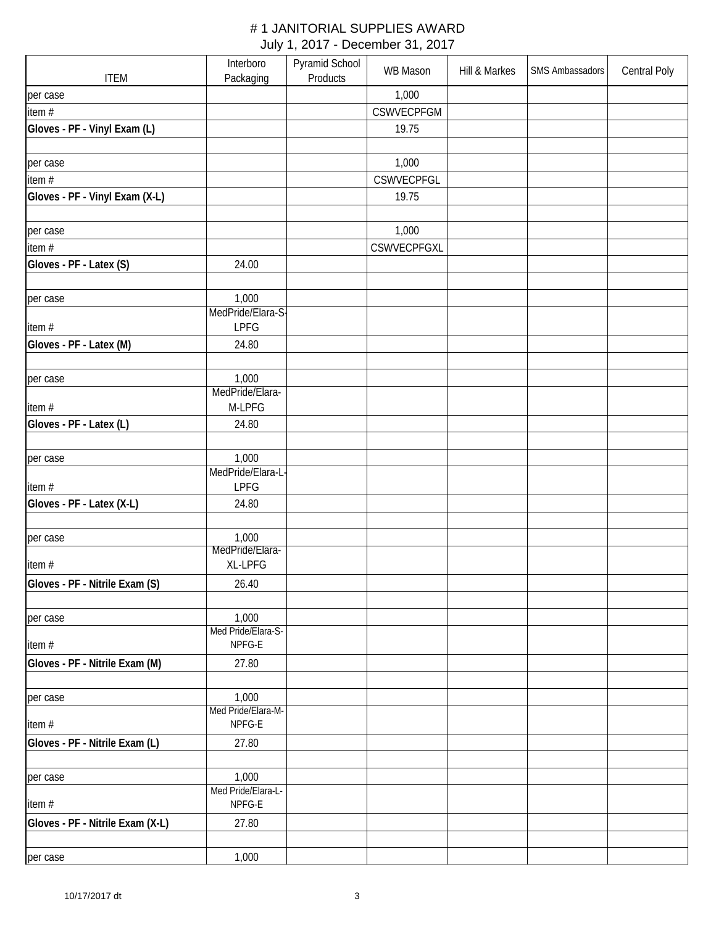|                                  | Interboro                | Pyramid School | <b>WB Mason</b> | Hill & Markes | SMS Ambassadors | <b>Central Poly</b> |
|----------------------------------|--------------------------|----------------|-----------------|---------------|-----------------|---------------------|
| <b>ITEM</b>                      | Packaging                | Products       |                 |               |                 |                     |
| per case                         |                          |                | 1,000           |               |                 |                     |
| item #                           |                          |                | CSWVECPFGM      |               |                 |                     |
| Gloves - PF - Vinyl Exam (L)     |                          |                | 19.75           |               |                 |                     |
|                                  |                          |                |                 |               |                 |                     |
| per case                         |                          |                | 1,000           |               |                 |                     |
| item $#$                         |                          |                | CSWVECPFGL      |               |                 |                     |
| Gloves - PF - Vinyl Exam (X-L)   |                          |                | 19.75           |               |                 |                     |
|                                  |                          |                |                 |               |                 |                     |
| per case                         |                          |                | 1,000           |               |                 |                     |
| item#                            |                          |                | CSWVECPFGXL     |               |                 |                     |
| Gloves - PF - Latex (S)          | 24.00                    |                |                 |               |                 |                     |
|                                  |                          |                |                 |               |                 |                     |
| per case                         | 1,000                    |                |                 |               |                 |                     |
|                                  | MedPride/Elara-S-        |                |                 |               |                 |                     |
| item#                            | <b>LPFG</b>              |                |                 |               |                 |                     |
| Gloves - PF - Latex (M)          | 24.80                    |                |                 |               |                 |                     |
|                                  |                          |                |                 |               |                 |                     |
| per case                         | 1,000                    |                |                 |               |                 |                     |
|                                  | MedPride/Elara-          |                |                 |               |                 |                     |
| item#                            | M-LPFG                   |                |                 |               |                 |                     |
| Gloves - PF - Latex (L)          | 24.80                    |                |                 |               |                 |                     |
|                                  |                          |                |                 |               |                 |                     |
| per case                         | 1,000                    |                |                 |               |                 |                     |
|                                  | MedPride/Elara-L         |                |                 |               |                 |                     |
| item#                            | <b>LPFG</b>              |                |                 |               |                 |                     |
| Gloves - PF - Latex (X-L)        | 24.80                    |                |                 |               |                 |                     |
|                                  |                          |                |                 |               |                 |                     |
| per case                         | 1,000<br>MedPride/Elara- |                |                 |               |                 |                     |
| item #                           | XL-LPFG                  |                |                 |               |                 |                     |
| Gloves - PF - Nitrile Exam (S)   | 26.40                    |                |                 |               |                 |                     |
|                                  |                          |                |                 |               |                 |                     |
|                                  | 1,000                    |                |                 |               |                 |                     |
| per case                         | Med Pride/Elara-S-       |                |                 |               |                 |                     |
| item#                            | NPFG-E                   |                |                 |               |                 |                     |
| Gloves - PF - Nitrile Exam (M)   | 27.80                    |                |                 |               |                 |                     |
|                                  |                          |                |                 |               |                 |                     |
| per case                         | 1,000                    |                |                 |               |                 |                     |
|                                  | Med Pride/Elara-M-       |                |                 |               |                 |                     |
| item#                            | NPFG-E                   |                |                 |               |                 |                     |
| Gloves - PF - Nitrile Exam (L)   | 27.80                    |                |                 |               |                 |                     |
|                                  |                          |                |                 |               |                 |                     |
| per case                         | 1,000                    |                |                 |               |                 |                     |
|                                  | Med Pride/Elara-L-       |                |                 |               |                 |                     |
| item#                            | NPFG-E                   |                |                 |               |                 |                     |
| Gloves - PF - Nitrile Exam (X-L) | 27.80                    |                |                 |               |                 |                     |
|                                  |                          |                |                 |               |                 |                     |
| per case                         | 1,000                    |                |                 |               |                 |                     |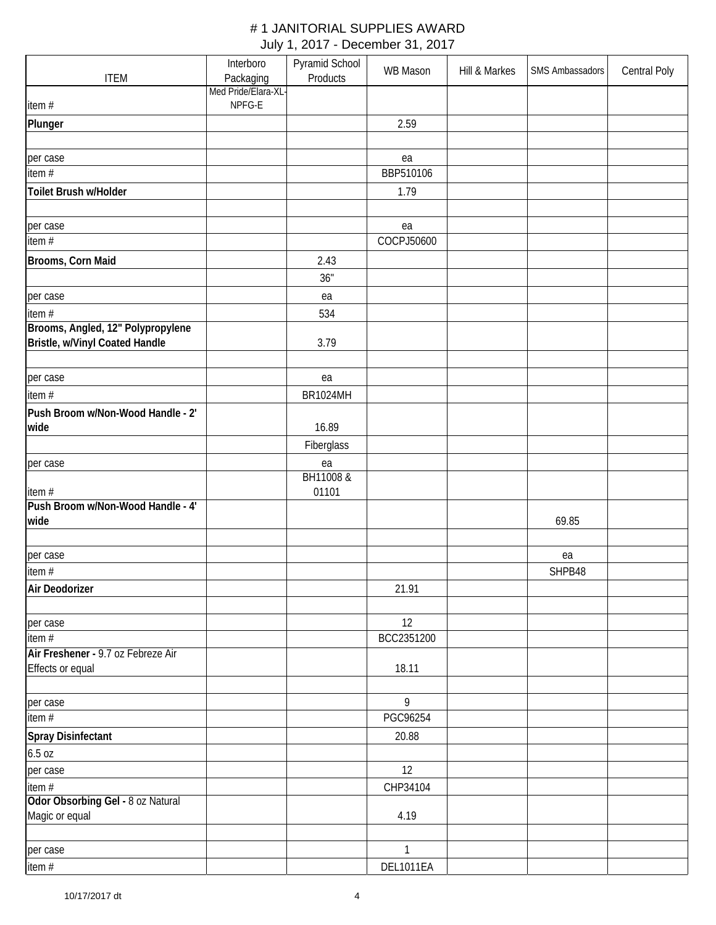|                                             | Interboro           | Pyramid School  | <b>WB Mason</b> | Hill & Markes | SMS Ambassadors | <b>Central Poly</b> |
|---------------------------------------------|---------------------|-----------------|-----------------|---------------|-----------------|---------------------|
| <b>ITEM</b>                                 | Packaging           | Products        |                 |               |                 |                     |
|                                             | Med Pride/Elara-XL- |                 |                 |               |                 |                     |
| item#                                       | NPFG-E              |                 |                 |               |                 |                     |
| Plunger                                     |                     |                 | 2.59            |               |                 |                     |
|                                             |                     |                 |                 |               |                 |                     |
| per case                                    |                     |                 | ea              |               |                 |                     |
| item#                                       |                     |                 | BBP510106       |               |                 |                     |
| Toilet Brush w/Holder                       |                     |                 | 1.79            |               |                 |                     |
|                                             |                     |                 |                 |               |                 |                     |
| per case                                    |                     |                 | ea              |               |                 |                     |
| item#                                       |                     |                 | COCPJ50600      |               |                 |                     |
| Brooms, Corn Maid                           |                     | 2.43            |                 |               |                 |                     |
|                                             |                     | 36"             |                 |               |                 |                     |
| per case                                    |                     | ea              |                 |               |                 |                     |
| item #                                      |                     | 534             |                 |               |                 |                     |
| Brooms, Angled, 12" Polypropylene           |                     |                 |                 |               |                 |                     |
| Bristle, w/Vinyl Coated Handle              |                     | 3.79            |                 |               |                 |                     |
|                                             |                     |                 |                 |               |                 |                     |
| per case                                    |                     | ea              |                 |               |                 |                     |
| item#                                       |                     | <b>BR1024MH</b> |                 |               |                 |                     |
| Push Broom w/Non-Wood Handle - 2'           |                     |                 |                 |               |                 |                     |
| wide                                        |                     | 16.89           |                 |               |                 |                     |
|                                             |                     | Fiberglass      |                 |               |                 |                     |
| per case                                    |                     | ea              |                 |               |                 |                     |
|                                             |                     | BH11008 &       |                 |               |                 |                     |
| item #                                      |                     | 01101           |                 |               |                 |                     |
| Push Broom w/Non-Wood Handle - 4'           |                     |                 |                 |               |                 |                     |
| wide                                        |                     |                 |                 |               | 69.85           |                     |
|                                             |                     |                 |                 |               |                 |                     |
| per case                                    |                     |                 |                 |               | ea              |                     |
| item #                                      |                     |                 |                 |               | SHPB48          |                     |
| Air Deodorizer                              |                     |                 | 21.91           |               |                 |                     |
|                                             |                     |                 |                 |               |                 |                     |
| per case                                    |                     |                 | 12              |               |                 |                     |
| item #                                      |                     |                 | BCC2351200      |               |                 |                     |
| Air Freshener - 9.7 oz Febreze Air          |                     |                 |                 |               |                 |                     |
| Effects or equal                            |                     |                 | 18.11           |               |                 |                     |
|                                             |                     |                 | 9               |               |                 |                     |
| per case<br>item #                          |                     |                 | PGC96254        |               |                 |                     |
|                                             |                     |                 |                 |               |                 |                     |
| <b>Spray Disinfectant</b>                   |                     |                 | 20.88           |               |                 |                     |
| 6.5 oz                                      |                     |                 |                 |               |                 |                     |
| per case                                    |                     |                 | 12              |               |                 |                     |
| item #<br>Odor Obsorbing Gel - 8 oz Natural |                     |                 | CHP34104        |               |                 |                     |
| Magic or equal                              |                     |                 | 4.19            |               |                 |                     |
|                                             |                     |                 |                 |               |                 |                     |
| per case                                    |                     |                 | 1               |               |                 |                     |
| item #                                      |                     |                 | DEL1011EA       |               |                 |                     |
|                                             |                     |                 |                 |               |                 |                     |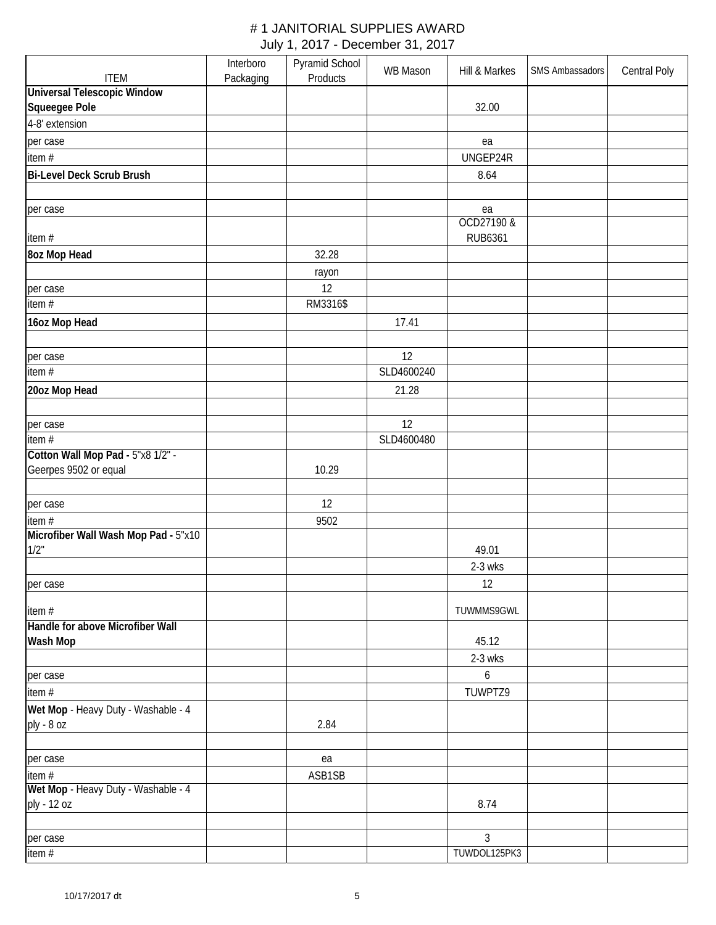|                                               | Interboro | Pyramid School | WB Mason   | Hill & Markes  | SMS Ambassadors | <b>Central Poly</b> |
|-----------------------------------------------|-----------|----------------|------------|----------------|-----------------|---------------------|
| <b>ITEM</b>                                   | Packaging | Products       |            |                |                 |                     |
| <b>Universal Telescopic Window</b>            |           |                |            |                |                 |                     |
| Squeegee Pole                                 |           |                |            | 32.00          |                 |                     |
| 4-8' extension                                |           |                |            |                |                 |                     |
| per case                                      |           |                |            | ea             |                 |                     |
| item#                                         |           |                |            | UNGEP24R       |                 |                     |
| <b>Bi-Level Deck Scrub Brush</b>              |           |                |            | 8.64           |                 |                     |
|                                               |           |                |            |                |                 |                     |
| per case                                      |           |                |            | ea             |                 |                     |
|                                               |           |                |            | OCD27190 &     |                 |                     |
| item#                                         |           |                |            | <b>RUB6361</b> |                 |                     |
| 8oz Mop Head                                  |           | 32.28          |            |                |                 |                     |
|                                               |           | rayon          |            |                |                 |                     |
| per case                                      |           | 12             |            |                |                 |                     |
| item #                                        |           | RM3316\$       |            |                |                 |                     |
| 16oz Mop Head                                 |           |                | 17.41      |                |                 |                     |
|                                               |           |                |            |                |                 |                     |
| per case                                      |           |                | 12         |                |                 |                     |
| item #                                        |           |                | SLD4600240 |                |                 |                     |
| 20oz Mop Head                                 |           |                | 21.28      |                |                 |                     |
|                                               |           |                |            |                |                 |                     |
|                                               |           |                | 12         |                |                 |                     |
| per case<br>item #                            |           |                | SLD4600480 |                |                 |                     |
| Cotton Wall Mop Pad - 5"x8 1/2" -             |           |                |            |                |                 |                     |
| Geerpes 9502 or equal                         |           | 10.29          |            |                |                 |                     |
|                                               |           |                |            |                |                 |                     |
|                                               |           | 12             |            |                |                 |                     |
| per case                                      |           |                |            |                |                 |                     |
| item#<br>Microfiber Wall Wash Mop Pad - 5"x10 |           | 9502           |            |                |                 |                     |
| 1/2"                                          |           |                |            | 49.01          |                 |                     |
|                                               |           |                |            | 2-3 wks        |                 |                     |
|                                               |           |                |            | 12             |                 |                     |
| per case                                      |           |                |            |                |                 |                     |
| item #                                        |           |                |            | TUWMMS9GWL     |                 |                     |
| Handle for above Microfiber Wall              |           |                |            |                |                 |                     |
| Wash Mop                                      |           |                |            | 45.12          |                 |                     |
|                                               |           |                |            | 2-3 wks        |                 |                     |
| per case                                      |           |                |            | 6              |                 |                     |
| item #                                        |           |                |            | TUWPTZ9        |                 |                     |
| Wet Mop - Heavy Duty - Washable - 4           |           |                |            |                |                 |                     |
| ply - 8 oz                                    |           | 2.84           |            |                |                 |                     |
|                                               |           |                |            |                |                 |                     |
| per case                                      |           | ea             |            |                |                 |                     |
| item #                                        |           | ASB1SB         |            |                |                 |                     |
| Wet Mop - Heavy Duty - Washable - 4           |           |                |            |                |                 |                     |
| ply - 12 oz                                   |           |                |            | 8.74           |                 |                     |
|                                               |           |                |            |                |                 |                     |
| per case                                      |           |                |            | $\overline{3}$ |                 |                     |
| item#                                         |           |                |            | TUWDOL125PK3   |                 |                     |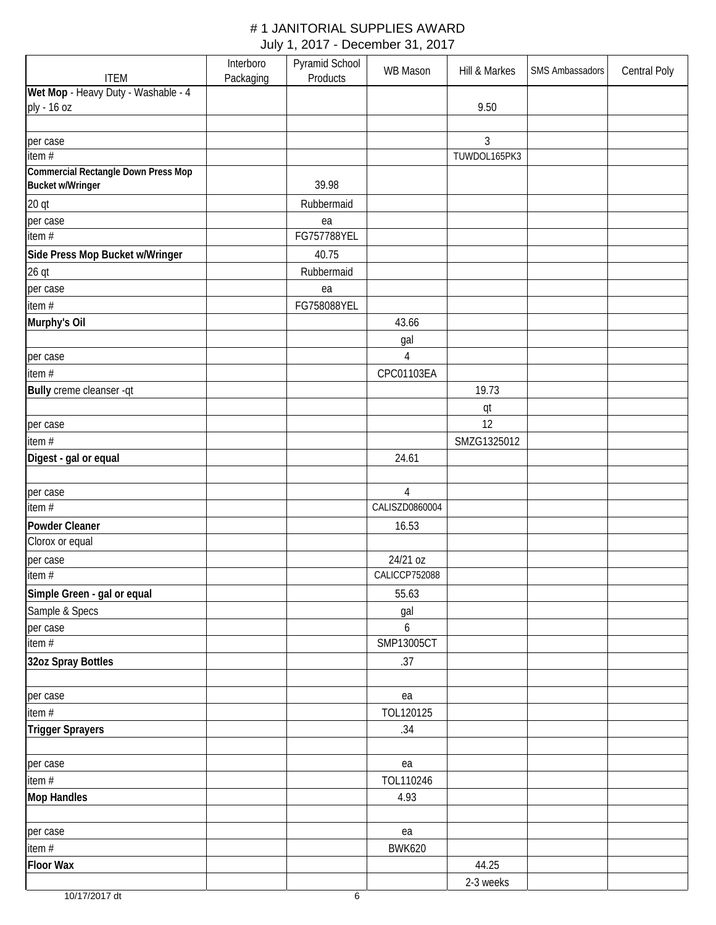|                                                    | Interboro | Pyramid School | WB Mason        | Hill & Markes  | SMS Ambassadors | <b>Central Poly</b> |
|----------------------------------------------------|-----------|----------------|-----------------|----------------|-----------------|---------------------|
| <b>ITEM</b><br>Wet Mop - Heavy Duty - Washable - 4 | Packaging | Products       |                 |                |                 |                     |
| ply - 16 oz                                        |           |                |                 | 9.50           |                 |                     |
|                                                    |           |                |                 |                |                 |                     |
| per case                                           |           |                |                 | $\mathfrak{Z}$ |                 |                     |
| item $#$                                           |           |                |                 | TUWDOL165PK3   |                 |                     |
| <b>Commercial Rectangle Down Press Mop</b>         |           |                |                 |                |                 |                     |
| <b>Bucket w/Wringer</b>                            |           | 39.98          |                 |                |                 |                     |
| 20 <sub>qt</sub>                                   |           | Rubbermaid     |                 |                |                 |                     |
| per case                                           |           | ea             |                 |                |                 |                     |
| item #                                             |           | FG757788YEL    |                 |                |                 |                     |
| Side Press Mop Bucket w/Wringer                    |           | 40.75          |                 |                |                 |                     |
| $26$ qt                                            |           | Rubbermaid     |                 |                |                 |                     |
| per case                                           |           | ea             |                 |                |                 |                     |
| item#                                              |           | FG758088YEL    |                 |                |                 |                     |
| Murphy's Oil                                       |           |                | 43.66           |                |                 |                     |
|                                                    |           |                | gal             |                |                 |                     |
| per case                                           |           |                | $\overline{4}$  |                |                 |                     |
| item#                                              |           |                | CPC01103EA      |                |                 |                     |
| Bully creme cleanser -qt                           |           |                |                 | 19.73          |                 |                     |
|                                                    |           |                |                 | qt             |                 |                     |
| per case                                           |           |                |                 | 12             |                 |                     |
| item#                                              |           |                |                 | SMZG1325012    |                 |                     |
| Digest - gal or equal                              |           |                | 24.61           |                |                 |                     |
| per case                                           |           |                | $\overline{4}$  |                |                 |                     |
| item #                                             |           |                | CALISZD0860004  |                |                 |                     |
| Powder Cleaner                                     |           |                | 16.53           |                |                 |                     |
| Clorox or equal                                    |           |                |                 |                |                 |                     |
| per case<br>item $#$                               |           |                | 24/21 oz        |                |                 |                     |
|                                                    |           |                | CALICCP752088   |                |                 |                     |
| Simple Green - gal or equal                        |           |                | 55.63           |                |                 |                     |
| Sample & Specs                                     |           |                | gal             |                |                 |                     |
| per case<br>item #                                 |           |                | 6<br>SMP13005CT |                |                 |                     |
| 32oz Spray Bottles                                 |           |                | .37             |                |                 |                     |
|                                                    |           |                |                 |                |                 |                     |
| per case                                           |           |                | ea              |                |                 |                     |
| item #                                             |           |                | TOL120125       |                |                 |                     |
| Trigger Sprayers                                   |           |                | .34             |                |                 |                     |
|                                                    |           |                |                 |                |                 |                     |
| per case                                           |           |                | ea              |                |                 |                     |
| item#                                              |           |                | TOL110246       |                |                 |                     |
| <b>Mop Handles</b>                                 |           |                | 4.93            |                |                 |                     |
|                                                    |           |                |                 |                |                 |                     |
| per case                                           |           |                | ea              |                |                 |                     |
| item #                                             |           |                | <b>BWK620</b>   |                |                 |                     |
| <b>Floor Wax</b>                                   |           |                |                 | 44.25          |                 |                     |
|                                                    |           |                |                 | 2-3 weeks      |                 |                     |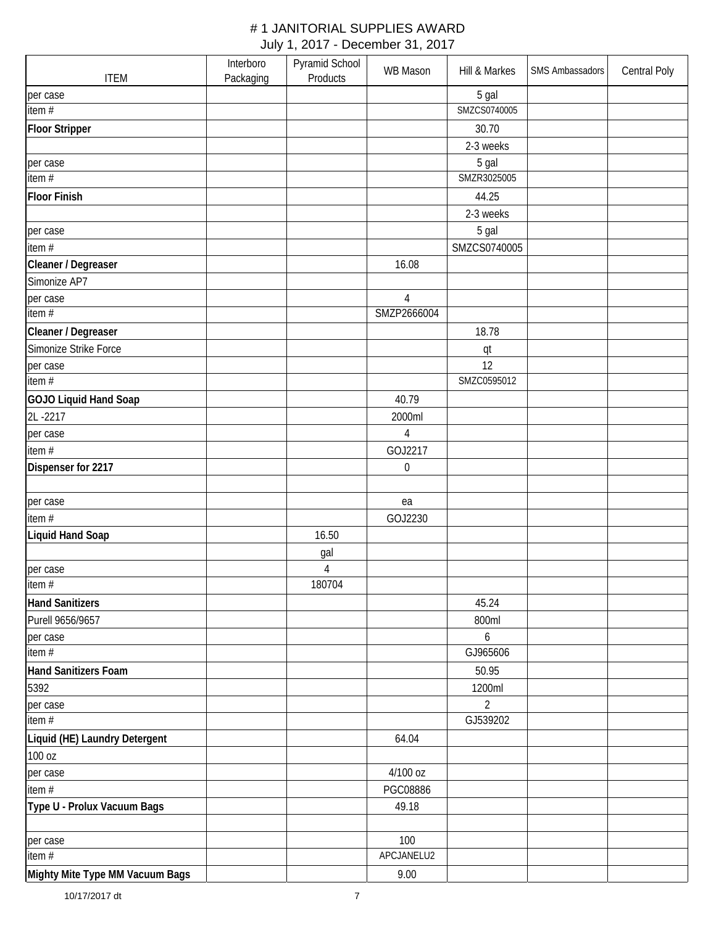|                                 | Interboro | Pyramid School | <b>WB Mason</b> | Hill & Markes  | SMS Ambassadors | Central Poly |
|---------------------------------|-----------|----------------|-----------------|----------------|-----------------|--------------|
| <b>ITEM</b>                     | Packaging | Products       |                 |                |                 |              |
| per case                        |           |                |                 | 5 gal          |                 |              |
| item #                          |           |                |                 | SMZCS0740005   |                 |              |
| <b>Floor Stripper</b>           |           |                |                 | 30.70          |                 |              |
|                                 |           |                |                 | 2-3 weeks      |                 |              |
| per case                        |           |                |                 | 5 gal          |                 |              |
| item #                          |           |                |                 | SMZR3025005    |                 |              |
| <b>Floor Finish</b>             |           |                |                 | 44.25          |                 |              |
|                                 |           |                |                 | 2-3 weeks      |                 |              |
| per case                        |           |                |                 | 5 gal          |                 |              |
| item#                           |           |                |                 | SMZCS0740005   |                 |              |
| Cleaner / Degreaser             |           |                | 16.08           |                |                 |              |
| Simonize AP7                    |           |                |                 |                |                 |              |
| per case                        |           |                | $\overline{4}$  |                |                 |              |
| item #                          |           |                | SMZP2666004     |                |                 |              |
| Cleaner / Degreaser             |           |                |                 | 18.78          |                 |              |
| Simonize Strike Force           |           |                |                 | qt             |                 |              |
| per case                        |           |                |                 | 12             |                 |              |
| item $#$                        |           |                |                 | SMZC0595012    |                 |              |
| GOJO Liquid Hand Soap           |           |                | 40.79           |                |                 |              |
| 2L-2217                         |           |                | 2000ml          |                |                 |              |
| per case                        |           |                | $\overline{4}$  |                |                 |              |
| item#                           |           |                | GOJ2217         |                |                 |              |
| Dispenser for 2217              |           |                | $\mathbf 0$     |                |                 |              |
|                                 |           |                |                 |                |                 |              |
| per case                        |           |                | ea              |                |                 |              |
| item#                           |           |                | GOJ2230         |                |                 |              |
| <b>Liquid Hand Soap</b>         |           | 16.50          |                 |                |                 |              |
|                                 |           | gal            |                 |                |                 |              |
| per case                        |           | $\overline{4}$ |                 |                |                 |              |
| item #                          |           | 180704         |                 |                |                 |              |
| <b>Hand Sanitizers</b>          |           |                |                 | 45.24          |                 |              |
| Purell 9656/9657                |           |                |                 | 800ml          |                 |              |
| per case                        |           |                |                 | 6              |                 |              |
| item #                          |           |                |                 | GJ965606       |                 |              |
| Hand Sanitizers Foam            |           |                |                 | 50.95          |                 |              |
| 5392                            |           |                |                 | 1200ml         |                 |              |
| per case                        |           |                |                 | $\overline{2}$ |                 |              |
| item #                          |           |                |                 | GJ539202       |                 |              |
| Liquid (HE) Laundry Detergent   |           |                | 64.04           |                |                 |              |
| 100 oz                          |           |                |                 |                |                 |              |
| per case                        |           |                | 4/100 oz        |                |                 |              |
| item #                          |           |                | PGC08886        |                |                 |              |
| Type U - Prolux Vacuum Bags     |           |                | 49.18           |                |                 |              |
|                                 |           |                |                 |                |                 |              |
| per case                        |           |                | 100             |                |                 |              |
| item #                          |           |                | APCJANELU2      |                |                 |              |
| Mighty Mite Type MM Vacuum Bags |           |                | 9.00            |                |                 |              |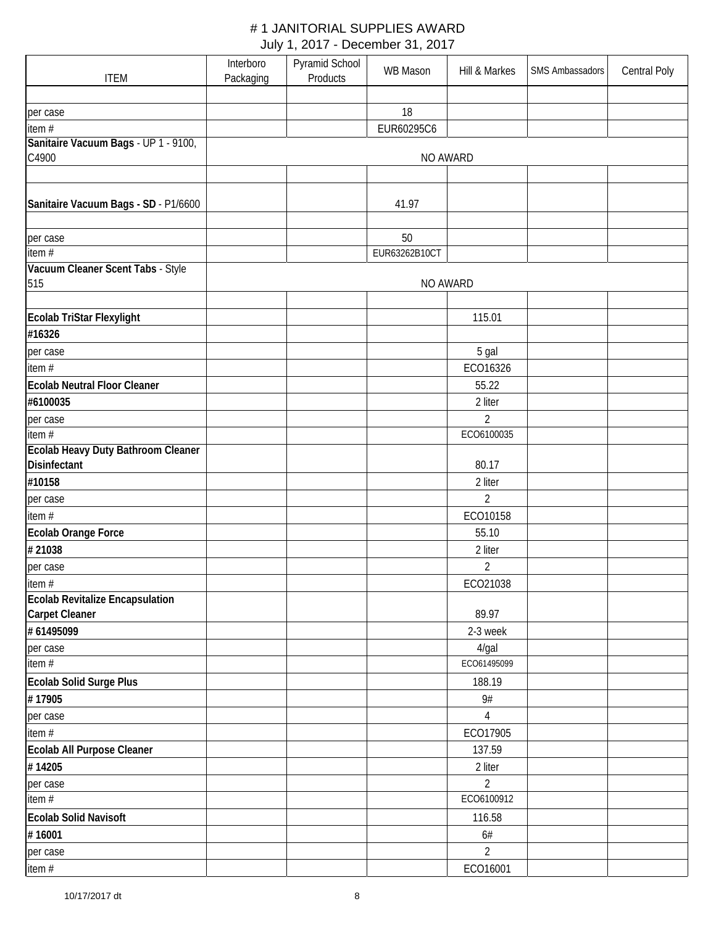|                                           | Interboro | Pyramid School | <b>WB Mason</b> | Hill & Markes  | SMS Ambassadors | Central Poly |
|-------------------------------------------|-----------|----------------|-----------------|----------------|-----------------|--------------|
| <b>ITEM</b>                               | Packaging | Products       |                 |                |                 |              |
|                                           |           |                |                 |                |                 |              |
| per case                                  |           |                | 18              |                |                 |              |
| item $#$                                  |           |                | EUR60295C6      |                |                 |              |
| Sanitaire Vacuum Bags - UP 1 - 9100,      |           |                |                 |                |                 |              |
| C4900                                     |           |                | NO AWARD        |                |                 |              |
|                                           |           |                |                 |                |                 |              |
| Sanitaire Vacuum Bags - SD - P1/6600      |           |                | 41.97           |                |                 |              |
|                                           |           |                |                 |                |                 |              |
|                                           |           |                | 50              |                |                 |              |
| per case<br>item #                        |           |                | EUR63262B10CT   |                |                 |              |
| Vacuum Cleaner Scent Tabs - Style         |           |                |                 |                |                 |              |
| 515                                       |           |                | NO AWARD        |                |                 |              |
|                                           |           |                |                 |                |                 |              |
| Ecolab TriStar Flexylight                 |           |                |                 | 115.01         |                 |              |
| #16326                                    |           |                |                 |                |                 |              |
| per case                                  |           |                |                 | 5 gal          |                 |              |
| item#                                     |           |                |                 | ECO16326       |                 |              |
| <b>Ecolab Neutral Floor Cleaner</b>       |           |                |                 | 55.22          |                 |              |
| #6100035                                  |           |                |                 | 2 liter        |                 |              |
|                                           |           |                |                 | $\overline{2}$ |                 |              |
| per case<br>item #                        |           |                |                 | ECO6100035     |                 |              |
| <b>Ecolab Heavy Duty Bathroom Cleaner</b> |           |                |                 |                |                 |              |
| Disinfectant                              |           |                |                 | 80.17          |                 |              |
| #10158                                    |           |                |                 | 2 liter        |                 |              |
| per case                                  |           |                |                 | $\overline{2}$ |                 |              |
| item#                                     |           |                |                 | ECO10158       |                 |              |
| Ecolab Orange Force                       |           |                |                 | 55.10          |                 |              |
| #21038                                    |           |                |                 | 2 liter        |                 |              |
|                                           |           |                |                 | $\overline{2}$ |                 |              |
| per case<br>item#                         |           |                |                 | ECO21038       |                 |              |
| Ecolab Revitalize Encapsulation           |           |                |                 |                |                 |              |
| <b>Carpet Cleaner</b>                     |           |                |                 | 89.97          |                 |              |
| # 61495099                                |           |                |                 | 2-3 week       |                 |              |
| per case                                  |           |                |                 | 4/gal          |                 |              |
| $\overline{\text{item}}$ #                |           |                |                 | ECO61495099    |                 |              |
| Ecolab Solid Surge Plus                   |           |                |                 | 188.19         |                 |              |
| #17905                                    |           |                |                 | 9#             |                 |              |
| per case                                  |           |                |                 | 4              |                 |              |
| item #                                    |           |                |                 | ECO17905       |                 |              |
| Ecolab All Purpose Cleaner                |           |                |                 | 137.59         |                 |              |
| #14205                                    |           |                |                 | 2 liter        |                 |              |
| per case                                  |           |                |                 | $\overline{2}$ |                 |              |
| item $#$                                  |           |                |                 | ECO6100912     |                 |              |
| <b>Ecolab Solid Navisoft</b>              |           |                |                 | 116.58         |                 |              |
| #16001                                    |           |                |                 | 6#             |                 |              |
|                                           |           |                |                 |                |                 |              |
| per case                                  |           |                |                 | $\overline{2}$ |                 |              |
| item#                                     |           |                |                 | ECO16001       |                 |              |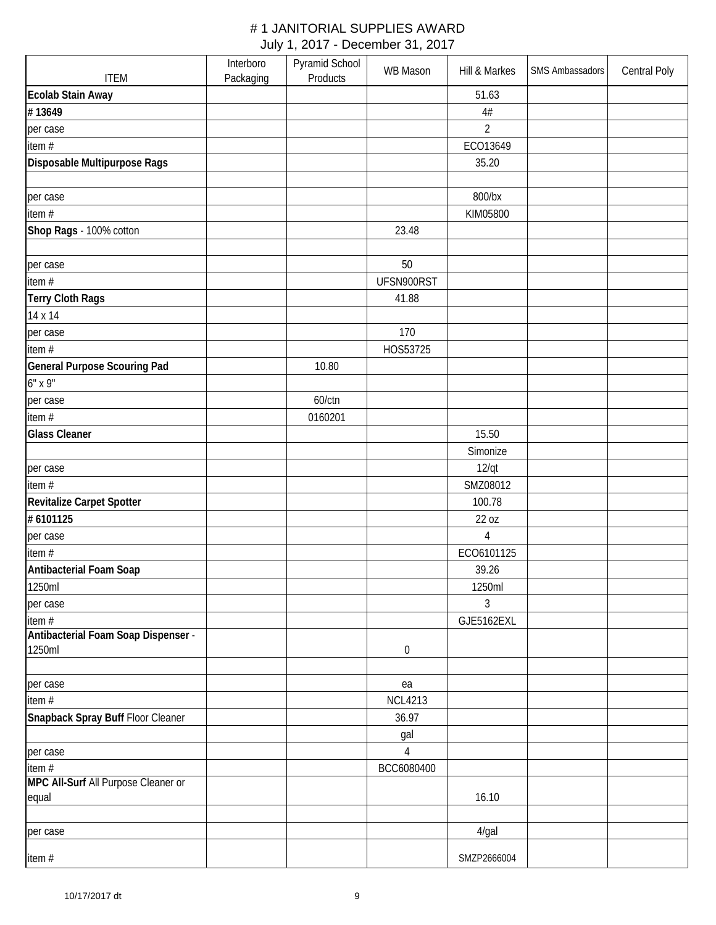|                                     | Interboro | Pyramid School | <b>WB Mason</b>  | Hill & Markes  | SMS Ambassadors | <b>Central Poly</b> |
|-------------------------------------|-----------|----------------|------------------|----------------|-----------------|---------------------|
| <b>ITEM</b>                         | Packaging | Products       |                  |                |                 |                     |
| Ecolab Stain Away                   |           |                |                  | 51.63          |                 |                     |
| #13649                              |           |                |                  | 4#             |                 |                     |
| per case                            |           |                |                  | $\overline{2}$ |                 |                     |
| item #                              |           |                |                  | ECO13649       |                 |                     |
| Disposable Multipurpose Rags        |           |                |                  | 35.20          |                 |                     |
|                                     |           |                |                  |                |                 |                     |
| per case                            |           |                |                  | 800/bx         |                 |                     |
| item #                              |           |                |                  | KIM05800       |                 |                     |
| Shop Rags - 100% cotton             |           |                | 23.48            |                |                 |                     |
|                                     |           |                |                  |                |                 |                     |
| per case                            |           |                | 50               |                |                 |                     |
| item#                               |           |                | UFSN900RST       |                |                 |                     |
| Terry Cloth Rags                    |           |                | 41.88            |                |                 |                     |
| 14 x 14                             |           |                |                  |                |                 |                     |
| per case                            |           |                | 170              |                |                 |                     |
| item#                               |           |                | HOS53725         |                |                 |                     |
| <b>General Purpose Scouring Pad</b> |           | 10.80          |                  |                |                 |                     |
| 6" x 9"                             |           |                |                  |                |                 |                     |
| per case                            |           | 60/ctn         |                  |                |                 |                     |
| item #                              |           | 0160201        |                  |                |                 |                     |
| <b>Glass Cleaner</b>                |           |                |                  | 15.50          |                 |                     |
|                                     |           |                |                  |                |                 |                     |
|                                     |           |                |                  | Simonize       |                 |                     |
| per case                            |           |                |                  | $12$ /qt       |                 |                     |
| item#                               |           |                |                  | SMZ08012       |                 |                     |
| Revitalize Carpet Spotter           |           |                |                  | 100.78         |                 |                     |
| # 6101125                           |           |                |                  | 22 oz          |                 |                     |
| per case                            |           |                |                  | $\overline{4}$ |                 |                     |
| item#                               |           |                |                  | ECO6101125     |                 |                     |
| Antibacterial Foam Soap             |           |                |                  | 39.26          |                 |                     |
| 1250ml                              |           |                |                  | 1250ml         |                 |                     |
| per case                            |           |                |                  | 3              |                 |                     |
| item #                              |           |                |                  | GJE5162EXL     |                 |                     |
| Antibacterial Foam Soap Dispenser - |           |                |                  |                |                 |                     |
| 1250ml                              |           |                | $\boldsymbol{0}$ |                |                 |                     |
|                                     |           |                |                  |                |                 |                     |
| per case                            |           |                | ea               |                |                 |                     |
| item #                              |           |                | <b>NCL4213</b>   |                |                 |                     |
| Snapback Spray Buff Floor Cleaner   |           |                | 36.97            |                |                 |                     |
|                                     |           |                | gal              |                |                 |                     |
| per case                            |           |                | 4                |                |                 |                     |
| item $#$                            |           |                | BCC6080400       |                |                 |                     |
| MPC All-Surf All Purpose Cleaner or |           |                |                  |                |                 |                     |
| equal                               |           |                |                  | 16.10          |                 |                     |
| per case                            |           |                |                  | 4/gal          |                 |                     |
|                                     |           |                |                  |                |                 |                     |
| item#                               |           |                |                  | SMZP2666004    |                 |                     |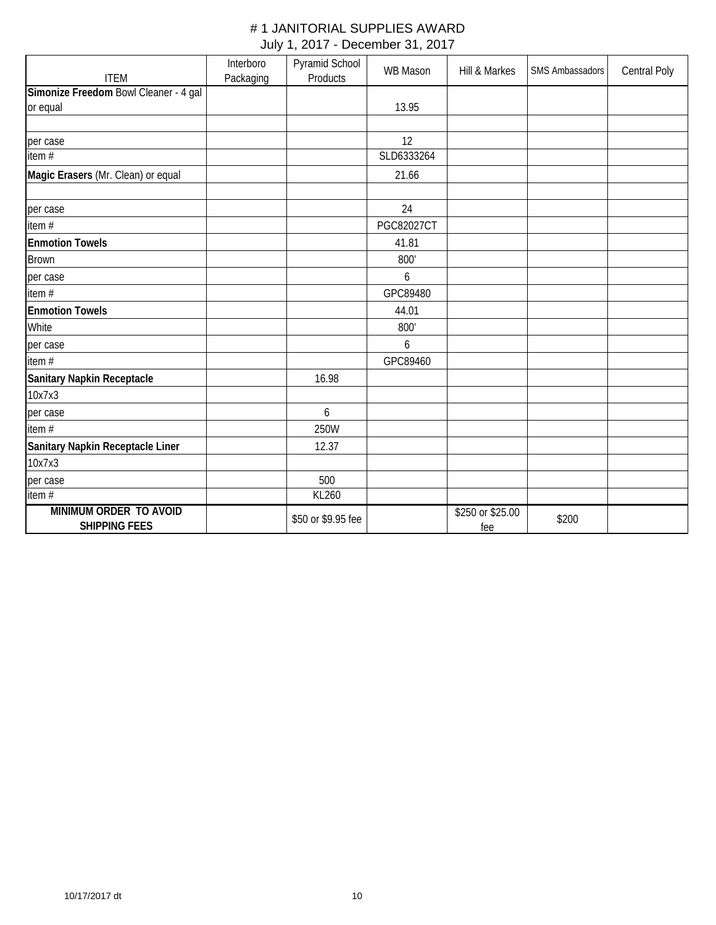|                                                      | Interboro | Pyramid School     | <b>WB Mason</b> | Hill & Markes           | <b>SMS Ambassadors</b> | Central Poly |
|------------------------------------------------------|-----------|--------------------|-----------------|-------------------------|------------------------|--------------|
| <b>ITEM</b><br>Simonize Freedom Bowl Cleaner - 4 gal | Packaging | Products           |                 |                         |                        |              |
| or equal                                             |           |                    | 13.95           |                         |                        |              |
|                                                      |           |                    |                 |                         |                        |              |
|                                                      |           |                    | 12              |                         |                        |              |
| per case<br>item #                                   |           |                    | SLD6333264      |                         |                        |              |
|                                                      |           |                    |                 |                         |                        |              |
| Magic Erasers (Mr. Clean) or equal                   |           |                    | 21.66           |                         |                        |              |
|                                                      |           |                    |                 |                         |                        |              |
| per case                                             |           |                    | 24              |                         |                        |              |
| item#                                                |           |                    | PGC82027CT      |                         |                        |              |
| <b>Enmotion Towels</b>                               |           |                    | 41.81           |                         |                        |              |
| Brown                                                |           |                    | 800'            |                         |                        |              |
| per case                                             |           |                    | 6               |                         |                        |              |
| item#                                                |           |                    | GPC89480        |                         |                        |              |
| <b>Enmotion Towels</b>                               |           |                    | 44.01           |                         |                        |              |
| White                                                |           |                    | 800'            |                         |                        |              |
| per case                                             |           |                    | 6               |                         |                        |              |
| item #                                               |           |                    | GPC89460        |                         |                        |              |
| Sanitary Napkin Receptacle                           |           | 16.98              |                 |                         |                        |              |
| 10x7x3                                               |           |                    |                 |                         |                        |              |
| per case                                             |           | 6                  |                 |                         |                        |              |
| item#                                                |           | 250W               |                 |                         |                        |              |
| Sanitary Napkin Receptacle Liner                     |           | 12.37              |                 |                         |                        |              |
| 10x7x3                                               |           |                    |                 |                         |                        |              |
| per case                                             |           | 500                |                 |                         |                        |              |
| item $#$                                             |           | KL260              |                 |                         |                        |              |
| MINIMUM ORDER TO AVOID<br><b>SHIPPING FEES</b>       |           | \$50 or \$9.95 fee |                 | \$250 or \$25.00<br>fee | \$200                  |              |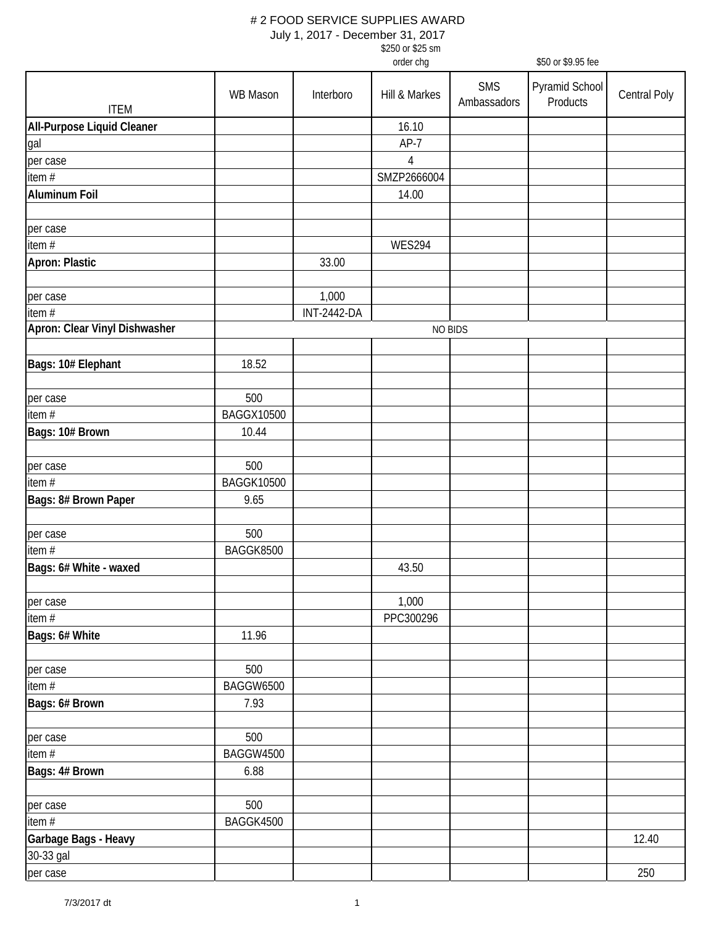July 1, 2017 - December 31, 2017

\$250 or \$25 sm

|                               |                   |                    | order chg      |                    | \$50 or \$9.95 fee         |              |  |
|-------------------------------|-------------------|--------------------|----------------|--------------------|----------------------------|--------------|--|
| <b>ITEM</b>                   | WB Mason          | Interboro          | Hill & Markes  | SMS<br>Ambassadors | Pyramid School<br>Products | Central Poly |  |
| All-Purpose Liquid Cleaner    |                   |                    | 16.10          |                    |                            |              |  |
| gal                           |                   |                    | $AP-7$         |                    |                            |              |  |
| per case                      |                   |                    | $\overline{4}$ |                    |                            |              |  |
| item #                        |                   |                    | SMZP2666004    |                    |                            |              |  |
| <b>Aluminum Foil</b>          |                   |                    | 14.00          |                    |                            |              |  |
|                               |                   |                    |                |                    |                            |              |  |
|                               |                   |                    |                |                    |                            |              |  |
| per case<br>item #            |                   |                    | <b>WES294</b>  |                    |                            |              |  |
|                               |                   |                    |                |                    |                            |              |  |
| Apron: Plastic                |                   | 33.00              |                |                    |                            |              |  |
|                               |                   |                    |                |                    |                            |              |  |
| per case                      |                   | 1,000              |                |                    |                            |              |  |
| item #                        |                   | <b>INT-2442-DA</b> |                |                    |                            |              |  |
| Apron: Clear Vinyl Dishwasher |                   |                    |                | NO BIDS            |                            |              |  |
|                               |                   |                    |                |                    |                            |              |  |
| Bags: 10# Elephant            | 18.52             |                    |                |                    |                            |              |  |
| per case                      | 500               |                    |                |                    |                            |              |  |
| item $#$                      | <b>BAGGX10500</b> |                    |                |                    |                            |              |  |
| Bags: 10# Brown               | 10.44             |                    |                |                    |                            |              |  |
| per case                      | 500               |                    |                |                    |                            |              |  |
| item $#$                      | <b>BAGGK10500</b> |                    |                |                    |                            |              |  |
| Bags: 8# Brown Paper          | 9.65              |                    |                |                    |                            |              |  |
|                               |                   |                    |                |                    |                            |              |  |
| per case                      | 500               |                    |                |                    |                            |              |  |
| item $#$                      | BAGGK8500         |                    |                |                    |                            |              |  |
| Bags: 6# White - waxed        |                   |                    | 43.50          |                    |                            |              |  |
|                               |                   |                    |                |                    |                            |              |  |
| per case                      |                   |                    | 1,000          |                    |                            |              |  |
| item $#$                      |                   |                    | PPC300296      |                    |                            |              |  |
| Bags: 6# White                | 11.96             |                    |                |                    |                            |              |  |
|                               |                   |                    |                |                    |                            |              |  |
| per case                      | 500               |                    |                |                    |                            |              |  |
| item $#$                      | BAGGW6500         |                    |                |                    |                            |              |  |
| Bags: 6# Brown                | 7.93              |                    |                |                    |                            |              |  |
|                               |                   |                    |                |                    |                            |              |  |
| per case                      | 500               |                    |                |                    |                            |              |  |
| item $#$                      | BAGGW4500         |                    |                |                    |                            |              |  |
| Bags: 4# Brown                | 6.88              |                    |                |                    |                            |              |  |
|                               |                   |                    |                |                    |                            |              |  |
| per case                      | 500               |                    |                |                    |                            |              |  |
| item #                        | BAGGK4500         |                    |                |                    |                            |              |  |
|                               |                   |                    |                |                    |                            |              |  |
| Garbage Bags - Heavy          |                   |                    |                |                    |                            | 12.40        |  |
| 30-33 gal                     |                   |                    |                |                    |                            |              |  |
| per case                      |                   |                    |                |                    |                            | 250          |  |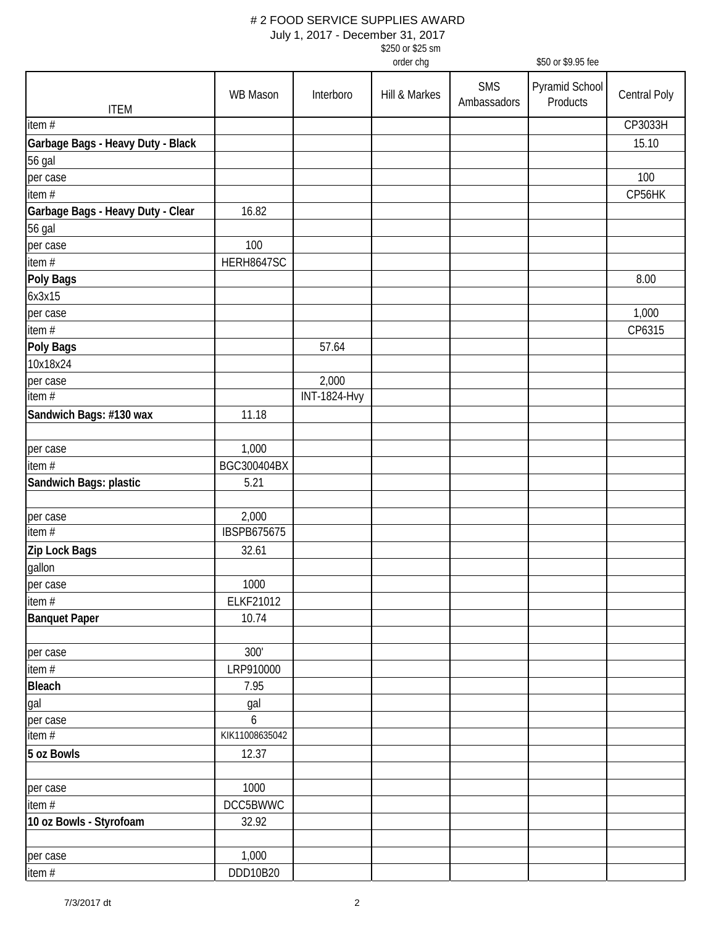| \$250 or \$25 sm |  |
|------------------|--|
| order cha        |  |

|                                   |                    |                              | order chg     |                           | \$50 or \$9.95 fee         |              |
|-----------------------------------|--------------------|------------------------------|---------------|---------------------------|----------------------------|--------------|
|                                   | <b>WB Mason</b>    | Interboro                    | Hill & Markes | <b>SMS</b><br>Ambassadors | Pyramid School<br>Products | Central Poly |
| <b>ITEM</b>                       |                    |                              |               |                           |                            |              |
| item $#$                          |                    |                              |               |                           |                            | CP3033H      |
| Garbage Bags - Heavy Duty - Black |                    |                              |               |                           |                            | 15.10        |
| 56 gal                            |                    |                              |               |                           |                            |              |
| per case                          |                    |                              |               |                           |                            | 100          |
| item $#$                          |                    |                              |               |                           |                            | CP56HK       |
| Garbage Bags - Heavy Duty - Clear | 16.82              |                              |               |                           |                            |              |
| 56 gal                            |                    |                              |               |                           |                            |              |
| per case                          | 100                |                              |               |                           |                            |              |
| item #                            | HERH8647SC         |                              |               |                           |                            |              |
| <b>Poly Bags</b>                  |                    |                              |               |                           |                            | 8.00         |
| 6x3x15                            |                    |                              |               |                           |                            |              |
| per case                          |                    |                              |               |                           |                            | 1,000        |
| item #                            |                    | 57.64                        |               |                           |                            | CP6315       |
| Poly Bags                         |                    |                              |               |                           |                            |              |
| 10x18x24                          |                    |                              |               |                           |                            |              |
| per case<br>item #                |                    | 2,000<br><b>INT-1824-Hvy</b> |               |                           |                            |              |
|                                   |                    |                              |               |                           |                            |              |
| Sandwich Bags: #130 wax           | 11.18              |                              |               |                           |                            |              |
| per case                          | 1,000              |                              |               |                           |                            |              |
| item #                            | BGC300404BX        |                              |               |                           |                            |              |
| Sandwich Bags: plastic            | 5.21               |                              |               |                           |                            |              |
| per case                          | 2,000              |                              |               |                           |                            |              |
| item #                            | <b>IBSPB675675</b> |                              |               |                           |                            |              |
| Zip Lock Bags                     | 32.61              |                              |               |                           |                            |              |
| gallon                            |                    |                              |               |                           |                            |              |
| per case                          | 1000               |                              |               |                           |                            |              |
| item#                             | ELKF21012          |                              |               |                           |                            |              |
| <b>Banquet Paper</b>              | 10.74              |                              |               |                           |                            |              |
|                                   |                    |                              |               |                           |                            |              |
| per case                          | 300'               |                              |               |                           |                            |              |
| item #                            | LRP910000          |                              |               |                           |                            |              |
| <b>Bleach</b>                     | 7.95               |                              |               |                           |                            |              |
| gal                               | gal                |                              |               |                           |                            |              |
| per case                          | $\boldsymbol{6}$   |                              |               |                           |                            |              |
| item #                            | KIK11008635042     |                              |               |                           |                            |              |
| 5 oz Bowls                        | 12.37              |                              |               |                           |                            |              |
| per case                          | 1000               |                              |               |                           |                            |              |
| item#                             | DCC5BWWC           |                              |               |                           |                            |              |
| 10 oz Bowls - Styrofoam           | 32.92              |                              |               |                           |                            |              |
|                                   |                    |                              |               |                           |                            |              |
| per case                          | 1,000              |                              |               |                           |                            |              |
| item $#$                          | DDD10B20           |                              |               |                           |                            |              |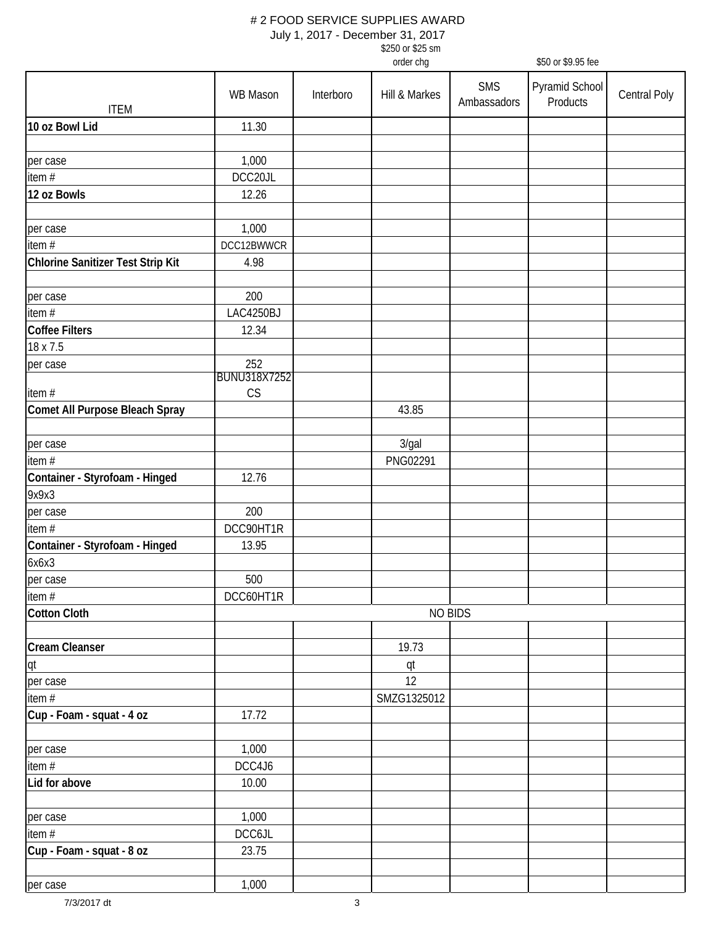| \$250 or \$25 sm |
|------------------|
| order cha        |

|                                   |                            |           | order chg     |                           | \$50 or \$9.95 fee         |              |
|-----------------------------------|----------------------------|-----------|---------------|---------------------------|----------------------------|--------------|
| <b>ITEM</b>                       | <b>WB Mason</b>            | Interboro | Hill & Markes | <b>SMS</b><br>Ambassadors | Pyramid School<br>Products | Central Poly |
| 10 oz Bowl Lid                    | 11.30                      |           |               |                           |                            |              |
|                                   |                            |           |               |                           |                            |              |
| per case                          | 1,000                      |           |               |                           |                            |              |
| item #                            | DCC20JL                    |           |               |                           |                            |              |
| 12 oz Bowls                       | 12.26                      |           |               |                           |                            |              |
|                                   |                            |           |               |                           |                            |              |
| per case                          | 1,000                      |           |               |                           |                            |              |
| item#                             | DCC12BWWCR                 |           |               |                           |                            |              |
| Chlorine Sanitizer Test Strip Kit | 4.98                       |           |               |                           |                            |              |
| per case                          | 200                        |           |               |                           |                            |              |
| item #                            | LAC4250BJ                  |           |               |                           |                            |              |
| <b>Coffee Filters</b>             | 12.34                      |           |               |                           |                            |              |
| 18 x 7.5                          |                            |           |               |                           |                            |              |
| per case                          | 252<br><b>BUNU318X7252</b> |           |               |                           |                            |              |
| item#                             | CS                         |           |               |                           |                            |              |
| Comet All Purpose Bleach Spray    |                            |           | 43.85         |                           |                            |              |
| per case                          |                            |           | 3/gal         |                           |                            |              |
| item #                            |                            |           | PNG02291      |                           |                            |              |
| Container - Styrofoam - Hinged    | 12.76                      |           |               |                           |                            |              |
| 9x9x3                             |                            |           |               |                           |                            |              |
| per case                          | 200                        |           |               |                           |                            |              |
| item $#$                          | DCC90HT1R                  |           |               |                           |                            |              |
| Container - Styrofoam - Hinged    | 13.95                      |           |               |                           |                            |              |
| 6x6x3                             |                            |           |               |                           |                            |              |
| per case                          | 500                        |           |               |                           |                            |              |
| item#                             | DCC60HT1R                  |           |               |                           |                            |              |
| <b>Cotton Cloth</b>               |                            |           | NO BIDS       |                           |                            |              |
|                                   |                            |           |               |                           |                            |              |
| <b>Cream Cleanser</b>             |                            |           | 19.73         |                           |                            |              |
| qt<br>per case                    |                            |           | qt<br>12      |                           |                            |              |
| item $#$                          |                            |           | SMZG1325012   |                           |                            |              |
| Cup - Foam - squat - 4 oz         | 17.72                      |           |               |                           |                            |              |
| per case                          | 1,000                      |           |               |                           |                            |              |
| item $#$                          | DCC4J6                     |           |               |                           |                            |              |
| Lid for above                     | 10.00                      |           |               |                           |                            |              |
| per case                          | 1,000                      |           |               |                           |                            |              |
| item $#$                          | DCC6JL                     |           |               |                           |                            |              |
| Cup - Foam - squat - 8 oz         | 23.75                      |           |               |                           |                            |              |
| per case                          | 1,000                      |           |               |                           |                            |              |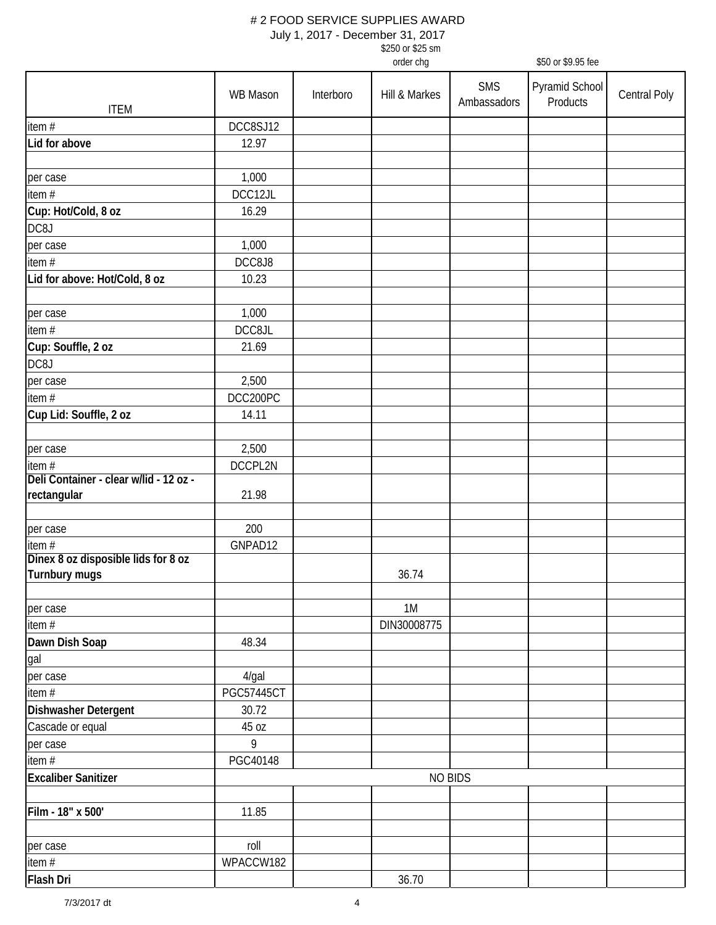July 1, 2017 - December 31, 2017

\$250 or \$25 sm

|                                        |                            |           | order chg      |                           | \$50 or \$9.95 fee         |              |
|----------------------------------------|----------------------------|-----------|----------------|---------------------------|----------------------------|--------------|
| <b>ITEM</b>                            | WB Mason                   | Interboro | Hill & Markes  | <b>SMS</b><br>Ambassadors | Pyramid School<br>Products | Central Poly |
| item $#$                               | DCC8SJ12                   |           |                |                           |                            |              |
| Lid for above                          | 12.97                      |           |                |                           |                            |              |
|                                        |                            |           |                |                           |                            |              |
| per case                               | 1,000                      |           |                |                           |                            |              |
| item #                                 | DCC12JL                    |           |                |                           |                            |              |
| Cup: Hot/Cold, 8 oz                    | 16.29                      |           |                |                           |                            |              |
| DC8J                                   |                            |           |                |                           |                            |              |
| per case                               | 1,000                      |           |                |                           |                            |              |
| item $#$                               | DCC8J8                     |           |                |                           |                            |              |
| Lid for above: Hot/Cold, 8 oz          | 10.23                      |           |                |                           |                            |              |
|                                        |                            |           |                |                           |                            |              |
| per case                               | 1,000                      |           |                |                           |                            |              |
| item #                                 | DCC8JL                     |           |                |                           |                            |              |
| Cup: Souffle, 2 oz                     | 21.69                      |           |                |                           |                            |              |
| DC8J                                   |                            |           |                |                           |                            |              |
| per case                               | 2,500                      |           |                |                           |                            |              |
| item #                                 | DCC200PC                   |           |                |                           |                            |              |
| Cup Lid: Souffle, 2 oz                 | 14.11                      |           |                |                           |                            |              |
|                                        |                            |           |                |                           |                            |              |
| per case                               | 2,500                      |           |                |                           |                            |              |
| item $#$                               | DCCPL2N                    |           |                |                           |                            |              |
| Deli Container - clear w/lid - 12 oz - |                            |           |                |                           |                            |              |
| rectangular                            | 21.98                      |           |                |                           |                            |              |
|                                        |                            |           |                |                           |                            |              |
| per case                               | 200                        |           |                |                           |                            |              |
| item $#$                               | GNPAD12                    |           |                |                           |                            |              |
| Dinex 8 oz disposible lids for 8 oz    |                            |           |                |                           |                            |              |
| Turnbury mugs                          |                            |           | 36.74          |                           |                            |              |
|                                        |                            |           |                |                           |                            |              |
| per case                               |                            |           | 1M             |                           |                            |              |
| item #                                 |                            |           | DIN30008775    |                           |                            |              |
| Dawn Dish Soap                         | 48.34                      |           |                |                           |                            |              |
| gal                                    |                            |           |                |                           |                            |              |
| per case                               | 4/gal<br><b>PGC57445CT</b> |           |                |                           |                            |              |
| item $#$                               |                            |           |                |                           |                            |              |
| Dishwasher Detergent                   | 30.72                      |           |                |                           |                            |              |
| Cascade or equal                       | 45 oz<br>9                 |           |                |                           |                            |              |
| per case                               |                            |           |                |                           |                            |              |
| item #                                 | PGC40148                   |           |                |                           |                            |              |
| <b>Excaliber Sanitizer</b>             |                            |           | <b>NO BIDS</b> |                           |                            |              |
|                                        |                            |           |                |                           |                            |              |
| Film - 18" x 500'                      | 11.85                      |           |                |                           |                            |              |
|                                        |                            |           |                |                           |                            |              |
| per case                               | roll                       |           |                |                           |                            |              |
| item #                                 | WPACCW182                  |           |                |                           |                            |              |
| <b>Flash Dri</b>                       |                            |           | 36.70          |                           |                            |              |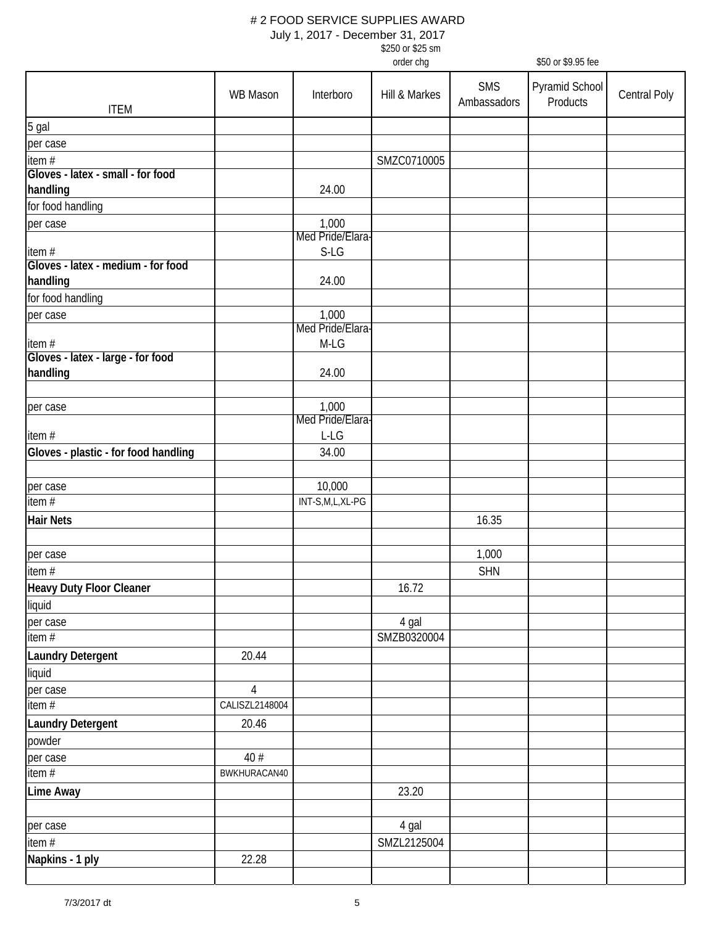| \$250 or \$25 sm |
|------------------|
| order cha        |

|                                             |                 |                           | order chg     |                           | \$50 or \$9.95 fee         |              |
|---------------------------------------------|-----------------|---------------------------|---------------|---------------------------|----------------------------|--------------|
| <b>ITEM</b>                                 | <b>WB Mason</b> | Interboro                 | Hill & Markes | <b>SMS</b><br>Ambassadors | Pyramid School<br>Products | Central Poly |
|                                             |                 |                           |               |                           |                            |              |
| 5 gal                                       |                 |                           |               |                           |                            |              |
| per case                                    |                 |                           |               |                           |                            |              |
| item #<br>Gloves - latex - small - for food |                 |                           | SMZC0710005   |                           |                            |              |
|                                             |                 | 24.00                     |               |                           |                            |              |
| handling                                    |                 |                           |               |                           |                            |              |
| for food handling                           |                 |                           |               |                           |                            |              |
| per case                                    |                 | 1,000<br>Med Pride/Elara- |               |                           |                            |              |
|                                             |                 | $S-LG$                    |               |                           |                            |              |
| item#<br>Gloves - latex - medium - for food |                 |                           |               |                           |                            |              |
| handling                                    |                 | 24.00                     |               |                           |                            |              |
| for food handling                           |                 |                           |               |                           |                            |              |
|                                             |                 | 1,000                     |               |                           |                            |              |
| per case                                    |                 | Med Pride/Elara-          |               |                           |                            |              |
| item#                                       |                 | $M-LG$                    |               |                           |                            |              |
| Gloves - latex - large - for food           |                 |                           |               |                           |                            |              |
| handling                                    |                 | 24.00                     |               |                           |                            |              |
|                                             |                 |                           |               |                           |                            |              |
| per case                                    |                 | 1,000                     |               |                           |                            |              |
|                                             |                 | Med Pride/Elara-          |               |                           |                            |              |
| item#                                       |                 | L-LG                      |               |                           |                            |              |
| Gloves - plastic - for food handling        |                 | 34.00                     |               |                           |                            |              |
|                                             |                 |                           |               |                           |                            |              |
| per case                                    |                 | 10,000                    |               |                           |                            |              |
| item #                                      |                 | INT-S,M,L,XL-PG           |               |                           |                            |              |
| <b>Hair Nets</b>                            |                 |                           |               | 16.35                     |                            |              |
|                                             |                 |                           |               |                           |                            |              |
|                                             |                 |                           |               |                           |                            |              |
| per case                                    |                 |                           |               | 1,000                     |                            |              |
| item#                                       |                 |                           |               | <b>SHN</b>                |                            |              |
| <b>Heavy Duty Floor Cleaner</b>             |                 |                           | 16.72         |                           |                            |              |
| liquid                                      |                 |                           |               |                           |                            |              |
| per case                                    |                 |                           | 4 gal         |                           |                            |              |
| item #                                      |                 |                           | SMZB0320004   |                           |                            |              |
| <b>Laundry Detergent</b>                    | 20.44           |                           |               |                           |                            |              |
| liquid                                      |                 |                           |               |                           |                            |              |
| per case                                    | $\overline{4}$  |                           |               |                           |                            |              |
| item $#$                                    | CALISZL2148004  |                           |               |                           |                            |              |
| <b>Laundry Detergent</b>                    | 20.46           |                           |               |                           |                            |              |
| powder                                      |                 |                           |               |                           |                            |              |
| per case                                    | 40 #            |                           |               |                           |                            |              |
| item $#$                                    | BWKHURACAN40    |                           |               |                           |                            |              |
|                                             |                 |                           |               |                           |                            |              |
| Lime Away                                   |                 |                           | 23.20         |                           |                            |              |
|                                             |                 |                           |               |                           |                            |              |
| per case                                    |                 |                           | 4 gal         |                           |                            |              |
| item #                                      |                 |                           | SMZL2125004   |                           |                            |              |
| Napkins - 1 ply                             | 22.28           |                           |               |                           |                            |              |
|                                             |                 |                           |               |                           |                            |              |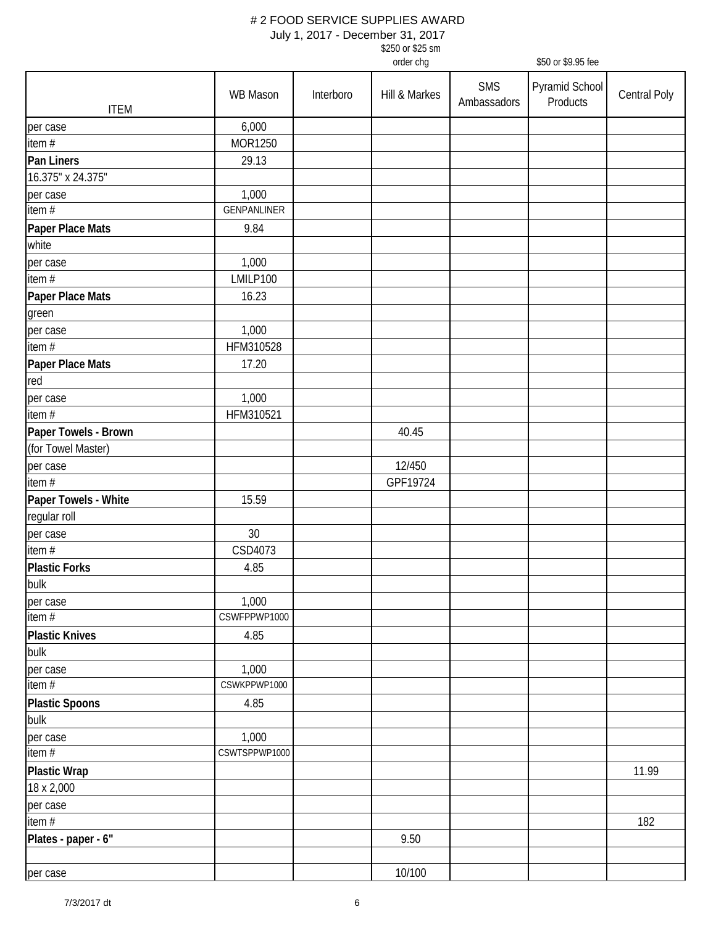July 1, 2017 - December 31, 2017

\$250 or \$25 sm

|                       |               |           | order chg     |                           | \$50 or \$9.95 fee         |              |
|-----------------------|---------------|-----------|---------------|---------------------------|----------------------------|--------------|
| <b>ITEM</b>           | WB Mason      | Interboro | Hill & Markes | <b>SMS</b><br>Ambassadors | Pyramid School<br>Products | Central Poly |
| per case              | 6,000         |           |               |                           |                            |              |
| item #                | MOR1250       |           |               |                           |                            |              |
| Pan Liners            | 29.13         |           |               |                           |                            |              |
| 16.375" x 24.375"     |               |           |               |                           |                            |              |
| per case              | 1,000         |           |               |                           |                            |              |
| item $#$              | GENPANLINER   |           |               |                           |                            |              |
| Paper Place Mats      | 9.84          |           |               |                           |                            |              |
| white                 |               |           |               |                           |                            |              |
| per case              | 1,000         |           |               |                           |                            |              |
| item $#$              | LMILP100      |           |               |                           |                            |              |
| Paper Place Mats      | 16.23         |           |               |                           |                            |              |
| green                 |               |           |               |                           |                            |              |
| per case              | 1,000         |           |               |                           |                            |              |
| item #                | HFM310528     |           |               |                           |                            |              |
| Paper Place Mats      | 17.20         |           |               |                           |                            |              |
| red                   |               |           |               |                           |                            |              |
| per case              | 1,000         |           |               |                           |                            |              |
| item #                | HFM310521     |           |               |                           |                            |              |
| Paper Towels - Brown  |               |           | 40.45         |                           |                            |              |
| (for Towel Master)    |               |           |               |                           |                            |              |
| per case              |               |           | 12/450        |                           |                            |              |
| item $#$              |               |           | GPF19724      |                           |                            |              |
| Paper Towels - White  | 15.59         |           |               |                           |                            |              |
| regular roll          |               |           |               |                           |                            |              |
| per case              | 30            |           |               |                           |                            |              |
| item #                | CSD4073       |           |               |                           |                            |              |
| <b>Plastic Forks</b>  | 4.85          |           |               |                           |                            |              |
| bulk                  |               |           |               |                           |                            |              |
| per case              | 1,000         |           |               |                           |                            |              |
| item#                 | CSWFPPWP1000  |           |               |                           |                            |              |
| <b>Plastic Knives</b> | 4.85          |           |               |                           |                            |              |
| bulk                  |               |           |               |                           |                            |              |
| per case              | 1,000         |           |               |                           |                            |              |
| item#                 | CSWKPPWP1000  |           |               |                           |                            |              |
| <b>Plastic Spoons</b> | 4.85          |           |               |                           |                            |              |
| bulk                  |               |           |               |                           |                            |              |
| per case              | 1,000         |           |               |                           |                            |              |
| item#                 | CSWTSPPWP1000 |           |               |                           |                            |              |
| <b>Plastic Wrap</b>   |               |           |               |                           |                            | 11.99        |
| 18 x 2,000            |               |           |               |                           |                            |              |
| per case              |               |           |               |                           |                            |              |
| item $#$              |               |           |               |                           |                            | 182          |
| Plates - paper - 6"   |               |           | 9.50          |                           |                            |              |
| per case              |               |           | 10/100        |                           |                            |              |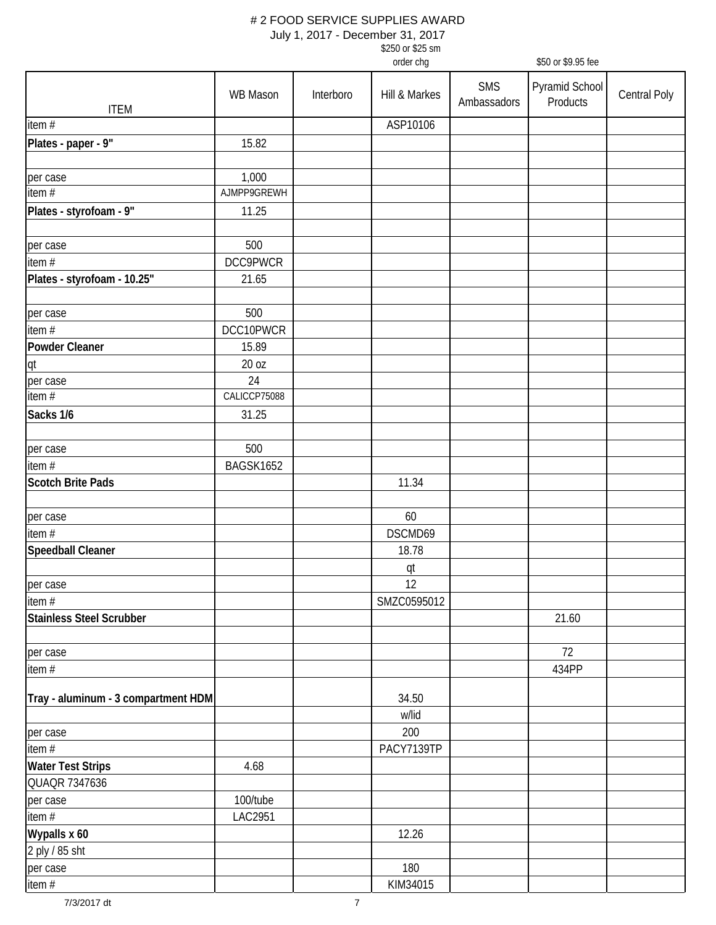|                                     | \$250 or \$25 sm                |           |               |                           |                            |              |
|-------------------------------------|---------------------------------|-----------|---------------|---------------------------|----------------------------|--------------|
|                                     | order chg<br>\$50 or \$9.95 fee |           |               |                           |                            |              |
| <b>ITEM</b>                         | WB Mason                        | Interboro | Hill & Markes | <b>SMS</b><br>Ambassadors | Pyramid School<br>Products | Central Poly |
| item #                              |                                 |           | ASP10106      |                           |                            |              |
| Plates - paper - 9"                 | 15.82                           |           |               |                           |                            |              |
| per case                            | 1,000                           |           |               |                           |                            |              |
| item $#$                            | AJMPP9GREWH                     |           |               |                           |                            |              |
| Plates - styrofoam - 9"             | 11.25                           |           |               |                           |                            |              |
| per case                            | 500                             |           |               |                           |                            |              |
| item #                              | DCC9PWCR                        |           |               |                           |                            |              |
| Plates - styrofoam - 10.25"         | 21.65                           |           |               |                           |                            |              |
| per case                            | 500                             |           |               |                           |                            |              |
| item #                              | DCC10PWCR                       |           |               |                           |                            |              |
| <b>Powder Cleaner</b>               | 15.89                           |           |               |                           |                            |              |
| qt                                  | 20 oz                           |           |               |                           |                            |              |
| per case                            | 24                              |           |               |                           |                            |              |
| item $\overline{H}$                 | CALICCP75088                    |           |               |                           |                            |              |
| Sacks 1/6                           | 31.25                           |           |               |                           |                            |              |
| per case                            | 500                             |           |               |                           |                            |              |
| item $#$                            | BAGSK1652                       |           |               |                           |                            |              |
| <b>Scotch Brite Pads</b>            |                                 |           | 11.34         |                           |                            |              |
| per case                            |                                 |           | 60            |                           |                            |              |
| item #                              |                                 |           | DSCMD69       |                           |                            |              |
| Speedball Cleaner                   |                                 |           | 18.78<br>qt   |                           |                            |              |
| per case                            |                                 |           | 12            |                           |                            |              |
| item $#$                            |                                 |           | SMZC0595012   |                           |                            |              |
| <b>Stainless Steel Scrubber</b>     |                                 |           |               |                           | 21.60                      |              |
| per case                            |                                 |           |               |                           | 72                         |              |
| item $#$                            |                                 |           |               |                           | 434PP                      |              |
| Tray - aluminum - 3 compartment HDM |                                 |           | 34.50         |                           |                            |              |
| per case                            |                                 |           | w/lid<br>200  |                           |                            |              |
| item $#$                            |                                 |           | PACY7139TP    |                           |                            |              |
| <b>Water Test Strips</b>            | 4.68                            |           |               |                           |                            |              |
| QUAQR 7347636                       |                                 |           |               |                           |                            |              |
| per case                            | 100/tube                        |           |               |                           |                            |              |
| item $#$                            | LAC2951                         |           |               |                           |                            |              |
| Wypalls x 60                        |                                 |           | 12.26         |                           |                            |              |
| 2 ply / 85 sht                      |                                 |           |               |                           |                            |              |
| per case                            |                                 |           | 180           |                           |                            |              |
| item #                              |                                 |           | KIM34015      |                           |                            |              |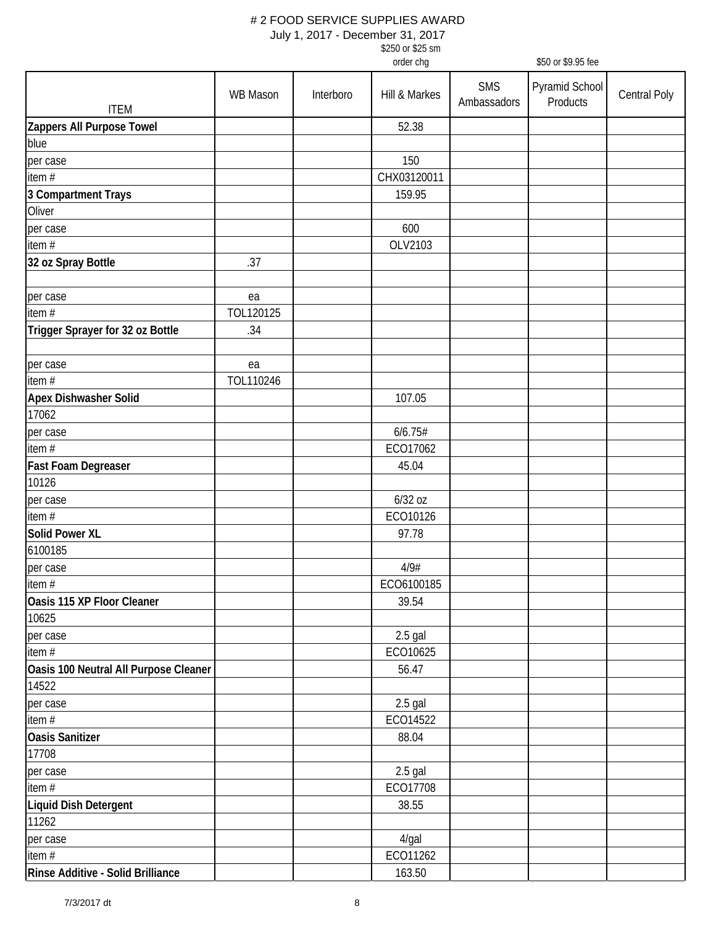| \$250 or \$25 sm |
|------------------|
| order cha        |

|                                       |           |           | order chg     |                           | \$50 or \$9.95 fee         |              |
|---------------------------------------|-----------|-----------|---------------|---------------------------|----------------------------|--------------|
| <b>ITEM</b>                           | WB Mason  | Interboro | Hill & Markes | <b>SMS</b><br>Ambassadors | Pyramid School<br>Products | Central Poly |
| Zappers All Purpose Towel             |           |           | 52.38         |                           |                            |              |
| blue                                  |           |           |               |                           |                            |              |
| per case                              |           |           | 150           |                           |                            |              |
| item #                                |           |           | CHX03120011   |                           |                            |              |
| 3 Compartment Trays                   |           |           | 159.95        |                           |                            |              |
| Oliver                                |           |           |               |                           |                            |              |
| per case                              |           |           | 600           |                           |                            |              |
| item#                                 |           |           | OLV2103       |                           |                            |              |
| 32 oz Spray Bottle                    | .37       |           |               |                           |                            |              |
| per case                              | ea        |           |               |                           |                            |              |
| item $#$                              | TOL120125 |           |               |                           |                            |              |
| Trigger Sprayer for 32 oz Bottle      | .34       |           |               |                           |                            |              |
| per case                              | ea        |           |               |                           |                            |              |
| item #                                | TOL110246 |           |               |                           |                            |              |
| <b>Apex Dishwasher Solid</b>          |           |           | 107.05        |                           |                            |              |
| 17062                                 |           |           |               |                           |                            |              |
| per case                              |           |           | 6/6.75#       |                           |                            |              |
| item #                                |           |           | ECO17062      |                           |                            |              |
| Fast Foam Degreaser                   |           |           | 45.04         |                           |                            |              |
| 10126                                 |           |           |               |                           |                            |              |
| per case                              |           |           | 6/32 oz       |                           |                            |              |
| item $#$                              |           |           | ECO10126      |                           |                            |              |
| <b>Solid Power XL</b>                 |           |           | 97.78         |                           |                            |              |
| 6100185                               |           |           |               |                           |                            |              |
| per case                              |           |           | 4/9#          |                           |                            |              |
| item $#$                              |           |           | ECO6100185    |                           |                            |              |
| Oasis 115 XP Floor Cleaner            |           |           | 39.54         |                           |                            |              |
| 10625                                 |           |           |               |                           |                            |              |
| per case                              |           |           | $2.5$ gal     |                           |                            |              |
| item $#$                              |           |           | ECO10625      |                           |                            |              |
| Oasis 100 Neutral All Purpose Cleaner |           |           | 56.47         |                           |                            |              |
| 14522                                 |           |           |               |                           |                            |              |
| per case                              |           |           | $2.5$ gal     |                           |                            |              |
| item #                                |           |           | ECO14522      |                           |                            |              |
| <b>Oasis Sanitizer</b>                |           |           | 88.04         |                           |                            |              |
| 17708                                 |           |           |               |                           |                            |              |
| per case                              |           |           | $2.5$ gal     |                           |                            |              |
| item $#$                              |           |           | EC017708      |                           |                            |              |
| Liquid Dish Detergent                 |           |           | 38.55         |                           |                            |              |
| 11262                                 |           |           |               |                           |                            |              |
| per case                              |           |           | $4$ /gal      |                           |                            |              |
| item #                                |           |           | ECO11262      |                           |                            |              |
| Rinse Additive - Solid Brilliance     |           |           | 163.50        |                           |                            |              |